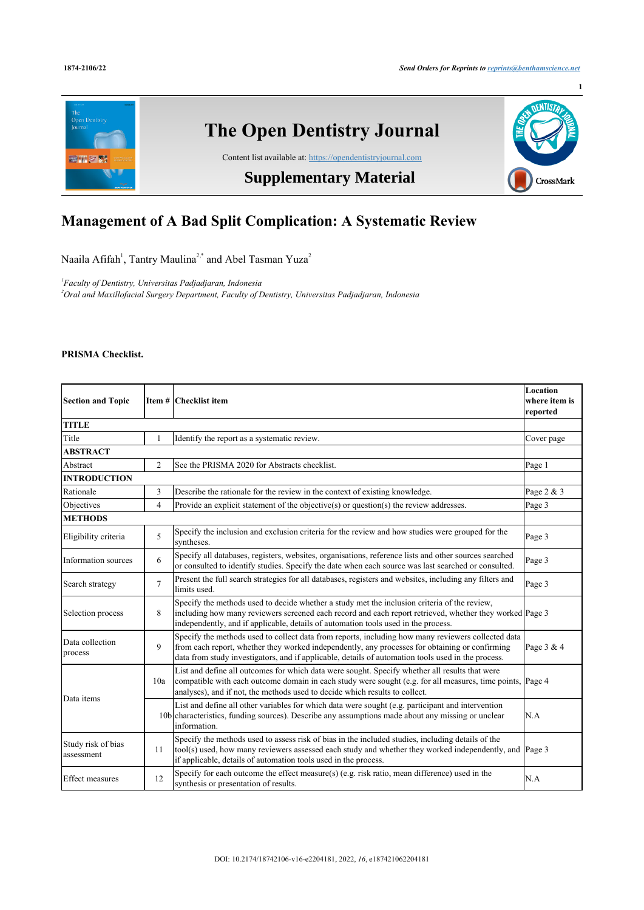

# **Management of A Bad Split Complication: A Systematic Review**

Naaila Afifah<sup>[1](#page-0-0)</sup>, Tantry Maulina<sup>[2](#page-0-1),[\\*](#page--1-0)</sup> and Abel Tasman Yuza<sup>2</sup>

<span id="page-0-1"></span><span id="page-0-0"></span>*1 Faculty of Dentistry, Universitas Padjadjaran, Indonesia <sup>2</sup>Oral and Maxillofacial Surgery Department, Faculty of Dentistry, Universitas Padjadjaran, Indonesia*

## **PRISMA Checklist.**

| <b>Section and Topic</b>         |                | Item # Checklist item                                                                                                                                                                                                                                                                                      | Location<br>where item is<br>reported |  |
|----------------------------------|----------------|------------------------------------------------------------------------------------------------------------------------------------------------------------------------------------------------------------------------------------------------------------------------------------------------------------|---------------------------------------|--|
| <b>TITLE</b>                     |                |                                                                                                                                                                                                                                                                                                            |                                       |  |
| Title                            | 1              | Identify the report as a systematic review.                                                                                                                                                                                                                                                                | Cover page                            |  |
| <b>ABSTRACT</b>                  |                |                                                                                                                                                                                                                                                                                                            |                                       |  |
| Abstract                         | $\overline{c}$ | See the PRISMA 2020 for Abstracts checklist.                                                                                                                                                                                                                                                               | Page 1                                |  |
| <b>INTRODUCTION</b>              |                |                                                                                                                                                                                                                                                                                                            |                                       |  |
| Rationale                        | 3              | Describe the rationale for the review in the context of existing knowledge.                                                                                                                                                                                                                                | Page 2 & 3                            |  |
| Objectives                       | $\overline{4}$ | Provide an explicit statement of the objective( $s$ ) or question( $s$ ) the review addresses.                                                                                                                                                                                                             | Page 3                                |  |
| <b>METHODS</b>                   |                |                                                                                                                                                                                                                                                                                                            |                                       |  |
| Eligibility criteria             | 5              | Specify the inclusion and exclusion criteria for the review and how studies were grouped for the<br>syntheses.                                                                                                                                                                                             | Page 3                                |  |
| Information sources              | 6              | Specify all databases, registers, websites, organisations, reference lists and other sources searched<br>or consulted to identify studies. Specify the date when each source was last searched or consulted.                                                                                               | Page 3                                |  |
| Search strategy                  | $\overline{7}$ | Present the full search strategies for all databases, registers and websites, including any filters and<br>limits used.                                                                                                                                                                                    | Page 3                                |  |
| Selection process                | 8              | Specify the methods used to decide whether a study met the inclusion criteria of the review,<br>including how many reviewers screened each record and each report retrieved, whether they worked Page 3<br>independently, and if applicable, details of automation tools used in the process.              |                                       |  |
| Data collection<br>process       | 9              | Specify the methods used to collect data from reports, including how many reviewers collected data<br>from each report, whether they worked independently, any processes for obtaining or confirming<br>data from study investigators, and if applicable, details of automation tools used in the process. | Page 3 & 4                            |  |
| Data items                       | 10a            | List and define all outcomes for which data were sought. Specify whether all results that were<br>compatible with each outcome domain in each study were sought (e.g. for all measures, time points, Page 4<br>analyses), and if not, the methods used to decide which results to collect.                 |                                       |  |
|                                  |                | List and define all other variables for which data were sought (e.g. participant and intervention<br>10b characteristics, funding sources). Describe any assumptions made about any missing or unclear<br>information.                                                                                     | N.A                                   |  |
| Study risk of bias<br>assessment | 11             | Specify the methods used to assess risk of bias in the included studies, including details of the<br>tool(s) used, how many reviewers assessed each study and whether they worked independently, and<br>if applicable, details of automation tools used in the process.                                    | Page 3                                |  |
| <b>Effect measures</b>           | 12             | Specify for each outcome the effect measure(s) (e.g. risk ratio, mean difference) used in the<br>synthesis or presentation of results.                                                                                                                                                                     | N.A                                   |  |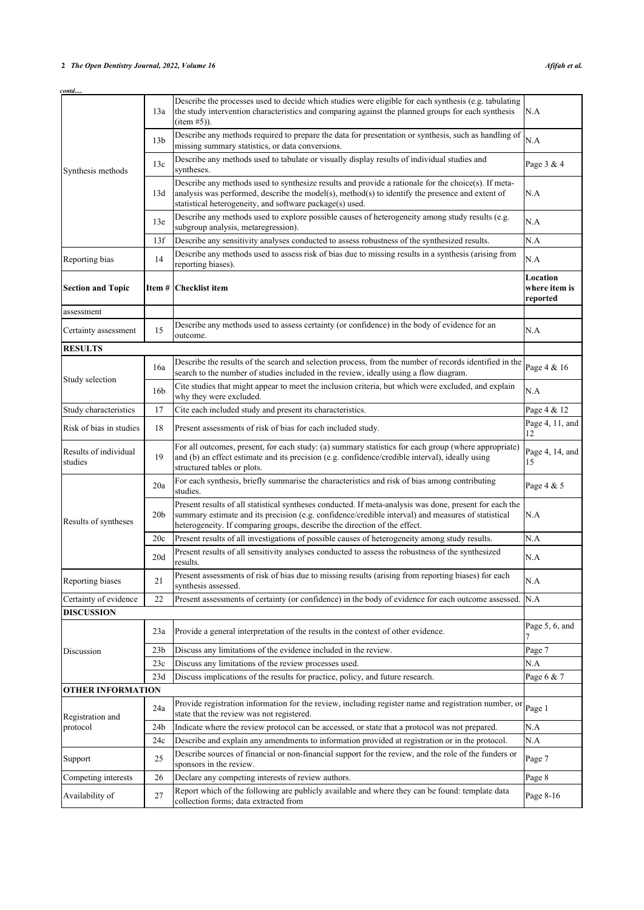# **2** *The Open Dentistry Journal, 2022, Volume 16 Afifah et al.*

| contd                            |                 |                                                                                                                                                                                                                                                                                            |                                       |
|----------------------------------|-----------------|--------------------------------------------------------------------------------------------------------------------------------------------------------------------------------------------------------------------------------------------------------------------------------------------|---------------------------------------|
|                                  | 13a             | Describe the processes used to decide which studies were eligible for each synthesis (e.g. tabulating<br>the study intervention characteristics and comparing against the planned groups for each synthesis<br>$item #5)$ ).                                                               | N.A                                   |
|                                  | 13 <sub>b</sub> | Describe any methods required to prepare the data for presentation or synthesis, such as handling of<br>missing summary statistics, or data conversions.                                                                                                                                   | N.A                                   |
| Synthesis methods                | 13c             | Describe any methods used to tabulate or visually display results of individual studies and<br>syntheses.                                                                                                                                                                                  | Page 3 & 4                            |
|                                  | 13d             | Describe any methods used to synthesize results and provide a rationale for the choice $(s)$ . If meta-<br>analysis was performed, describe the model(s), method(s) to identify the presence and extent of<br>statistical heterogeneity, and software package(s) used.                     | N.A                                   |
|                                  | 13e             | Describe any methods used to explore possible causes of heterogeneity among study results (e.g.<br>subgroup analysis, metaregression).                                                                                                                                                     | N.A                                   |
|                                  | 13f             | Describe any sensitivity analyses conducted to assess robustness of the synthesized results.                                                                                                                                                                                               | N.A                                   |
| Reporting bias                   | 14              | Describe any methods used to assess risk of bias due to missing results in a synthesis (arising from<br>reporting biases).                                                                                                                                                                 | N.A                                   |
| <b>Section and Topic</b>         | Item #          | Checklist item                                                                                                                                                                                                                                                                             | Location<br>where item is<br>reported |
| assessment                       |                 |                                                                                                                                                                                                                                                                                            |                                       |
| Certainty assessment             | 15              | Describe any methods used to assess certainty (or confidence) in the body of evidence for an<br>outcome.                                                                                                                                                                                   | N.A                                   |
| <b>RESULTS</b>                   |                 |                                                                                                                                                                                                                                                                                            |                                       |
| Study selection                  | 16a             | Describe the results of the search and selection process, from the number of records identified in the<br>search to the number of studies included in the review, ideally using a flow diagram.                                                                                            | Page 4 & 16                           |
|                                  | 16 <sub>b</sub> | Cite studies that might appear to meet the inclusion criteria, but which were excluded, and explain<br>why they were excluded.                                                                                                                                                             | N.A                                   |
| Study characteristics            | 17              | Cite each included study and present its characteristics.                                                                                                                                                                                                                                  | Page 4 & 12                           |
| Risk of bias in studies          | 18              | Present assessments of risk of bias for each included study.                                                                                                                                                                                                                               | Page 4, 11, and<br>12                 |
| Results of individual<br>studies | 19              | For all outcomes, present, for each study: (a) summary statistics for each group (where appropriate)<br>and (b) an effect estimate and its precision (e.g. confidence/credible interval), ideally using<br>structured tables or plots.                                                     | Page 4, 14, and<br>15                 |
|                                  | 20a             | For each synthesis, briefly summarise the characteristics and risk of bias among contributing<br>studies.                                                                                                                                                                                  | Page 4 & 5                            |
| Results of syntheses             | 20 <sub>b</sub> | Present results of all statistical syntheses conducted. If meta-analysis was done, present for each the<br>summary estimate and its precision (e.g. confidence/credible interval) and measures of statistical<br>heterogeneity. If comparing groups, describe the direction of the effect. | N.A                                   |
|                                  | 20c             | Present results of all investigations of possible causes of heterogeneity among study results.                                                                                                                                                                                             | N.A                                   |
|                                  | 20d             | Present results of all sensitivity analyses conducted to assess the robustness of the synthesized<br>results.                                                                                                                                                                              | N.A                                   |
| Reporting biases                 | 21              | Present assessments of risk of bias due to missing results (arising from reporting biases) for each<br>synthesis assessed.                                                                                                                                                                 | N.A                                   |
| Certainty of evidence            | 22              | Present assessments of certainty (or confidence) in the body of evidence for each outcome assessed.                                                                                                                                                                                        | N.A                                   |
| <b>DISCUSSION</b>                |                 |                                                                                                                                                                                                                                                                                            |                                       |
|                                  | 23a             | Provide a general interpretation of the results in the context of other evidence.                                                                                                                                                                                                          | Page $5, 6$ , and                     |
| Discussion                       | 23 <sub>b</sub> | Discuss any limitations of the evidence included in the review.                                                                                                                                                                                                                            | Page 7                                |
|                                  | 23c             | Discuss any limitations of the review processes used.                                                                                                                                                                                                                                      | N.A                                   |
|                                  | 23d             | Discuss implications of the results for practice, policy, and future research.                                                                                                                                                                                                             | Page 6 & 7                            |
| <b>OTHER INFORMATION</b>         |                 |                                                                                                                                                                                                                                                                                            |                                       |
| Registration and<br>protocol     | 24a             | Provide registration information for the review, including register name and registration number, or<br>state that the review was not registered.                                                                                                                                          | Page 1                                |
|                                  | 24 <sub>b</sub> | Indicate where the review protocol can be accessed, or state that a protocol was not prepared.                                                                                                                                                                                             | N.A                                   |
|                                  | 24c             | Describe and explain any amendments to information provided at registration or in the protocol.                                                                                                                                                                                            | N.A                                   |
| Support                          | 25              | Describe sources of financial or non-financial support for the review, and the role of the funders or<br>sponsors in the review.                                                                                                                                                           | Page 7                                |
| Competing interests              | 26              | Declare any competing interests of review authors.                                                                                                                                                                                                                                         | Page 8                                |
| Availability of                  | 27              | Report which of the following are publicly available and where they can be found: template data<br>collection forms; data extracted from                                                                                                                                                   | Page 8-16                             |